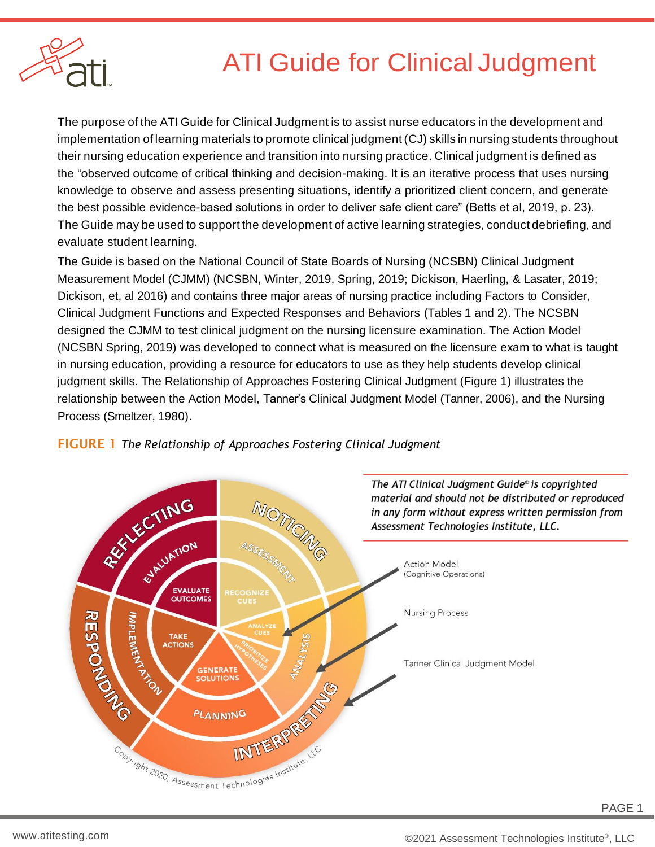

# ATI Guide for Clinical Judgment

The purpose of the ATI Guide for Clinical Judgment is to assist nurse educators in the development and implementation of learning materials to promote clinical judgment (CJ) skills in nursing students throughout their nursing education experience and transition into nursing practice. Clinical judgment is defined as the "observed outcome of critical thinking and decision-making. It is an iterative process that uses nursing knowledge to observe and assess presenting situations, identify a prioritized client concern, and generate the best possible evidence-based solutions in order to deliver safe client care" (Betts et al, 2019, p. 23). The Guide may be used to support the development of active learning strategies, conduct debriefing, and evaluate student learning.

The Guide is based on the National Council of State Boards of Nursing (NCSBN) Clinical Judgment Measurement Model (CJMM) (NCSBN, Winter, 2019, Spring, 2019; Dickison, Haerling, & Lasater, 2019; Dickison, et, al 2016) and contains three major areas of nursing practice including Factors to Consider, Clinical Judgment Functions and Expected Responses and Behaviors (Tables 1 and 2). The NCSBN designed the CJMM to test clinical judgment on the nursing licensure examination. The Action Model (NCSBN Spring, 2019) was developed to connect what is measured on the licensure exam to what is taught in nursing education, providing a resource for educators to use as they help students develop clinical judgment skills. The Relationship of Approaches Fostering Clinical Judgment (Figure 1) illustrates the relationship between the Action Model, Tanner's Clinical Judgment Model (Tanner, 2006), and the Nursing Process (Smeltzer, 1980).



#### FIGURE 1 *The Relationship of Approaches Fostering Clinical Judgment*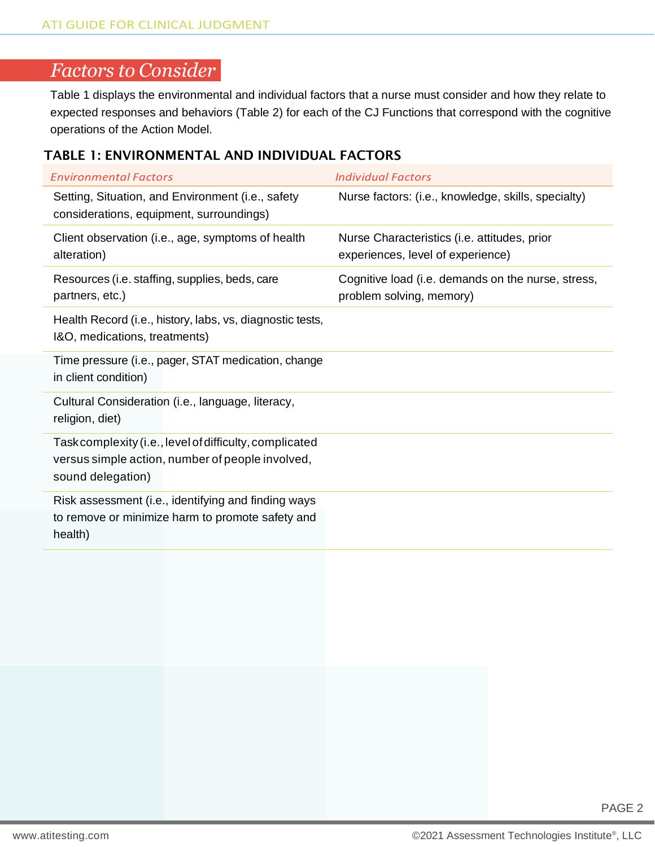## *Factors to Consider*

Table 1 displays the environmental and individual factors that a nurse must consider and how they relate to expected responses and behaviors (Table 2) for each of the CJ Functions that correspond with the cognitive operations of the Action Model.

#### TABLE 1: ENVIRONMENTAL AND INDIVIDUAL FACTORS

| <b>Environmental Factors</b>                                                                                                     | <b>Individual Factors</b>                                                         |
|----------------------------------------------------------------------------------------------------------------------------------|-----------------------------------------------------------------------------------|
| Setting, Situation, and Environment (i.e., safety<br>considerations, equipment, surroundings)                                    | Nurse factors: (i.e., knowledge, skills, specialty)                               |
| Client observation (i.e., age, symptoms of health<br>alteration)                                                                 | Nurse Characteristics (i.e. attitudes, prior<br>experiences, level of experience) |
| Resources (i.e. staffing, supplies, beds, care<br>partners, etc.)                                                                | Cognitive load (i.e. demands on the nurse, stress,<br>problem solving, memory)    |
| Health Record (i.e., history, labs, vs, diagnostic tests,<br>I&O, medications, treatments)                                       |                                                                                   |
| Time pressure (i.e., pager, STAT medication, change<br>in client condition)                                                      |                                                                                   |
| Cultural Consideration (i.e., language, literacy,<br>religion, diet)                                                             |                                                                                   |
| Task complexity (i.e., level of difficulty, complicated<br>versus simple action, number of people involved,<br>sound delegation) |                                                                                   |
| Risk assessment (i.e., identifying and finding ways<br>to remove or minimize harm to promote safety and<br>health)               |                                                                                   |
|                                                                                                                                  |                                                                                   |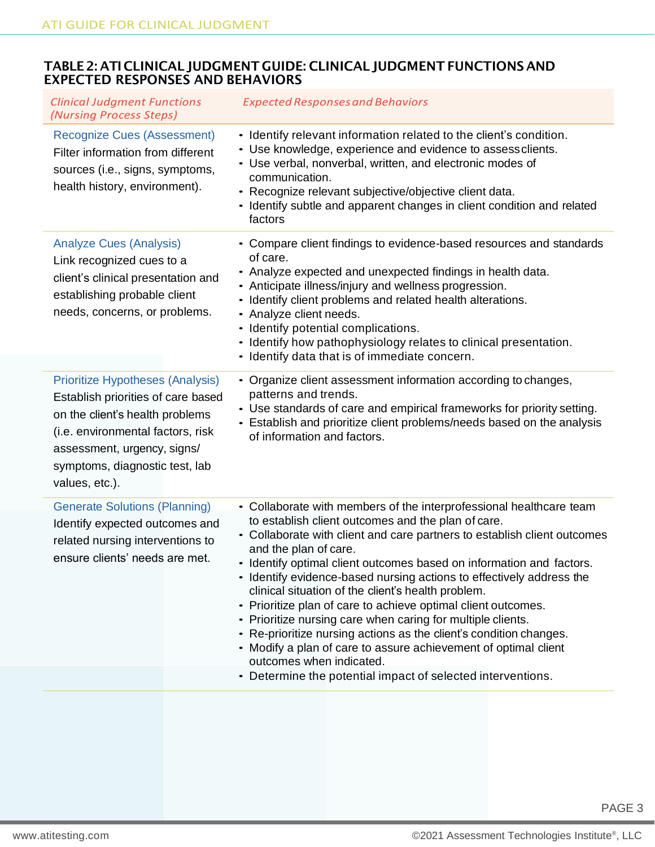#### TABLE2: ATI CLINICAL JUDGMENT GUIDE: CLINICAL JUDGMENTFUNCTIONS AND EXPECTED RESPONSES AND BEHAVIORS

| <b>Clinical Judgment Functions</b><br>(Nursing Process Steps)                                                                                                                                                                            | <b>Expected Responses and Behaviors</b>                                                                                                                                                                                                                                                                                                                                                                                                                                                                                                                                                                                                                                                                                                                                                                             |
|------------------------------------------------------------------------------------------------------------------------------------------------------------------------------------------------------------------------------------------|---------------------------------------------------------------------------------------------------------------------------------------------------------------------------------------------------------------------------------------------------------------------------------------------------------------------------------------------------------------------------------------------------------------------------------------------------------------------------------------------------------------------------------------------------------------------------------------------------------------------------------------------------------------------------------------------------------------------------------------------------------------------------------------------------------------------|
| <b>Recognize Cues (Assessment)</b><br>Filter information from different<br>sources (i.e., signs, symptoms,<br>health history, environment).                                                                                              | • Identify relevant information related to the client's condition.<br>• Use knowledge, experience and evidence to assess clients.<br>• Use verbal, nonverbal, written, and electronic modes of<br>communication.<br>• Recognize relevant subjective/objective client data.<br>• Identify subtle and apparent changes in client condition and related<br>factors                                                                                                                                                                                                                                                                                                                                                                                                                                                     |
| <b>Analyze Cues (Analysis)</b><br>Link recognized cues to a<br>client's clinical presentation and<br>establishing probable client<br>needs, concerns, or problems.                                                                       | • Compare client findings to evidence-based resources and standards<br>of care.<br>• Analyze expected and unexpected findings in health data.<br>• Anticipate illness/injury and wellness progression.<br>Identify client problems and related health alterations.<br>$\bullet$<br>• Analyze client needs.<br>- Identify potential complications.<br>• Identify how pathophysiology relates to clinical presentation.<br>• Identify data that is of immediate concern.                                                                                                                                                                                                                                                                                                                                              |
| <b>Prioritize Hypotheses (Analysis)</b><br>Establish priorities of care based<br>on the client's health problems<br>(i.e. environmental factors, risk<br>assessment, urgency, signs/<br>symptoms, diagnostic test, lab<br>values, etc.). | • Organize client assessment information according to changes,<br>patterns and trends.<br>• Use standards of care and empirical frameworks for priority setting.<br>• Establish and prioritize client problems/needs based on the analysis<br>of information and factors.                                                                                                                                                                                                                                                                                                                                                                                                                                                                                                                                           |
| <b>Generate Solutions (Planning)</b><br>Identify expected outcomes and<br>related nursing interventions to<br>ensure clients' needs are met.                                                                                             | • Collaborate with members of the interprofessional healthcare team<br>to establish client outcomes and the plan of care.<br>• Collaborate with client and care partners to establish client outcomes<br>and the plan of care.<br>- Identify optimal client outcomes based on information and factors.<br>• Identify evidence-based nursing actions to effectively address the<br>clinical situation of the client's health problem.<br>Prioritize plan of care to achieve optimal client outcomes.<br>$\bullet$<br>• Prioritize nursing care when caring for multiple clients.<br>• Re-prioritize nursing actions as the client's condition changes.<br>• Modify a plan of care to assure achievement of optimal client<br>outcomes when indicated.<br>• Determine the potential impact of selected interventions. |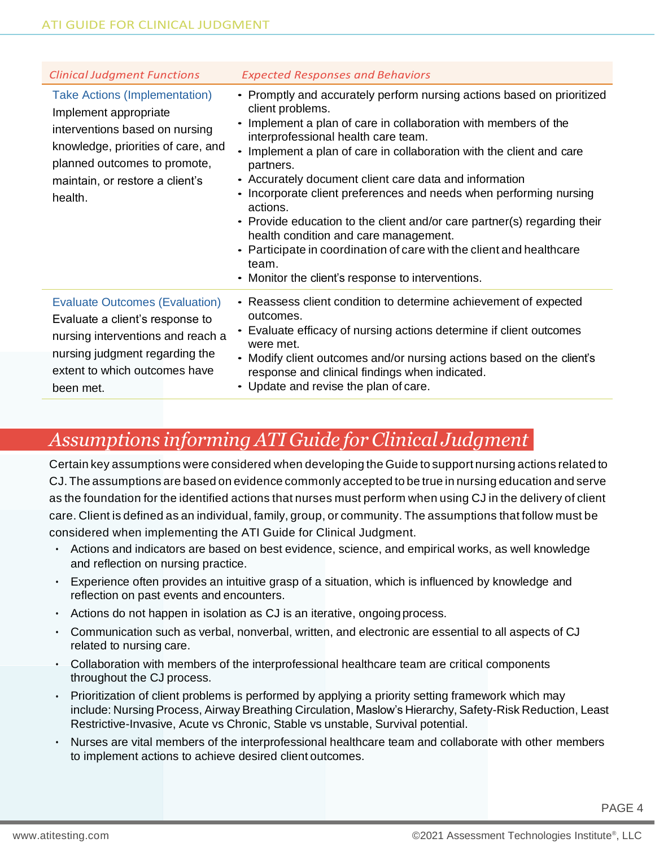| <b>Clinical Judgment Functions</b>                                                                                                                                                                                  | <b>Expected Responses and Behaviors</b>                                                                                                                                                                                                                                                                                                                                                                                                                                                                                                                                                                                                                                                      |
|---------------------------------------------------------------------------------------------------------------------------------------------------------------------------------------------------------------------|----------------------------------------------------------------------------------------------------------------------------------------------------------------------------------------------------------------------------------------------------------------------------------------------------------------------------------------------------------------------------------------------------------------------------------------------------------------------------------------------------------------------------------------------------------------------------------------------------------------------------------------------------------------------------------------------|
| <b>Take Actions (Implementation)</b><br>Implement appropriate<br>interventions based on nursing<br>knowledge, priorities of care, and<br>planned outcomes to promote,<br>maintain, or restore a client's<br>health. | • Promptly and accurately perform nursing actions based on prioritized<br>client problems.<br>Implement a plan of care in collaboration with members of the<br>interprofessional health care team.<br>Implement a plan of care in collaboration with the client and care<br>partners.<br>• Accurately document client care data and information<br>• Incorporate client preferences and needs when performing nursing<br>actions.<br>• Provide education to the client and/or care partner(s) regarding their<br>health condition and care management.<br>• Participate in coordination of care with the client and healthcare<br>team.<br>• Monitor the client's response to interventions. |
| <b>Evaluate Outcomes (Evaluation)</b><br>Evaluate a client's response to<br>nursing interventions and reach a<br>nursing judgment regarding the<br>extent to which outcomes have<br>been met.                       | • Reassess client condition to determine achievement of expected<br>outcomes.<br>• Evaluate efficacy of nursing actions determine if client outcomes<br>were met.<br>• Modify client outcomes and/or nursing actions based on the client's<br>response and clinical findings when indicated.<br>• Update and revise the plan of care.                                                                                                                                                                                                                                                                                                                                                        |

## *Assumptions informing ATI Guide for Clinical Judgment*

Certain key assumptions were considered when developing the Guide to support nursing actions related to CJ. The assumptions are based on evidence commonly accepted to be true in nursing education and serve as the foundation for the identified actions that nurses must perform when using CJ in the delivery of client care. Client is defined as an individual, family, group, or community. The assumptions that follow must be considered when implementing the ATI Guide for Clinical Judgment.

- Actions and indicators are based on best evidence, science, and empirical works, as well knowledge and reflection on nursing practice.
- $\cdot$  Experience often provides an intuitive grasp of a situation, which is influenced by knowledge and reflection on past events and encounters.
- $\cdot$  Actions do not happen in isolation as CJ is an iterative, ongoing process.
- $\cdot$  Communication such as verbal, nonverbal, written, and electronic are essential to all aspects of CJ related to nursing care.
- Collaboration with members of the interprofessional healthcare team are critical components throughout the CJ process.
- $\cdot$  Prioritization of client problems is performed by applying a priority setting framework which may include: Nursing Process, Airway Breathing Circulation, Maslow's Hierarchy, Safety-Risk Reduction, Least Restrictive-Invasive, Acute vs Chronic, Stable vs unstable, Survival potential.
- Nurses are vital members of the interprofessional healthcare team and collaborate with other members to implement actions to achieve desired client outcomes.